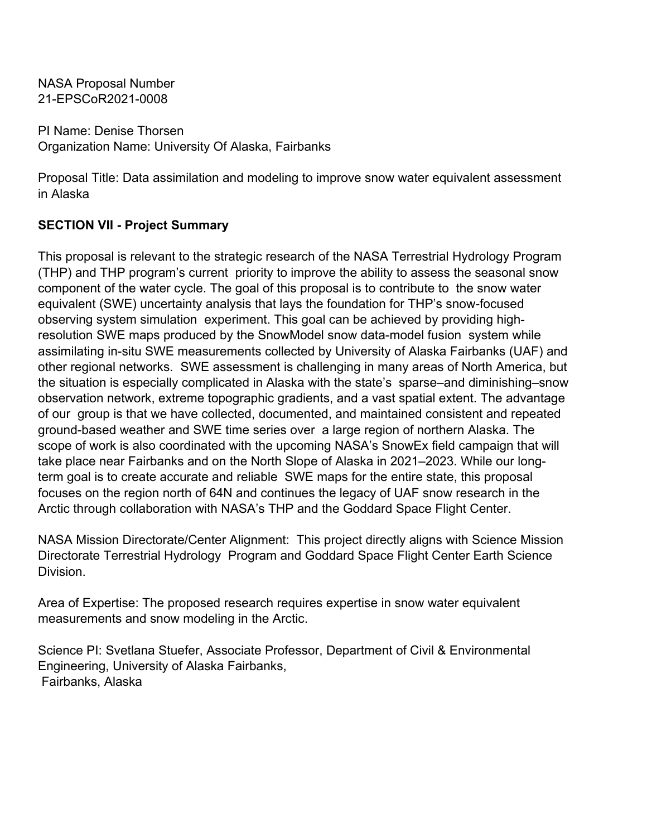PI Name: Denise Thorsen Organization Name: University Of Alaska, Fairbanks

Proposal Title: Data assimilation and modeling to improve snow water equivalent assessment in Alaska

# **SECTION VII - Project Summary**

This proposal is relevant to the strategic research of the NASA Terrestrial Hydrology Program (THP) and THP program's current priority to improve the ability to assess the seasonal snow component of the water cycle. The goal of this proposal is to contribute to the snow water equivalent (SWE) uncertainty analysis that lays the foundation for THP's snow-focused observing system simulation experiment. This goal can be achieved by providing highresolution SWE maps produced by the SnowModel snow data-model fusion system while assimilating in-situ SWE measurements collected by University of Alaska Fairbanks (UAF) and other regional networks. SWE assessment is challenging in many areas of North America, but the situation is especially complicated in Alaska with the state's sparse–and diminishing–snow observation network, extreme topographic gradients, and a vast spatial extent. The advantage of our group is that we have collected, documented, and maintained consistent and repeated ground-based weather and SWE time series over a large region of northern Alaska. The scope of work is also coordinated with the upcoming NASA's SnowEx field campaign that will take place near Fairbanks and on the North Slope of Alaska in 2021–2023. While our longterm goal is to create accurate and reliable SWE maps for the entire state, this proposal focuses on the region north of 64N and continues the legacy of UAF snow research in the Arctic through collaboration with NASA's THP and the Goddard Space Flight Center.

NASA Mission Directorate/Center Alignment: This project directly aligns with Science Mission Directorate Terrestrial Hydrology Program and Goddard Space Flight Center Earth Science Division.

Area of Expertise: The proposed research requires expertise in snow water equivalent measurements and snow modeling in the Arctic.

Science PI: Svetlana Stuefer, Associate Professor, Department of Civil & Environmental Engineering, University of Alaska Fairbanks, Fairbanks, Alaska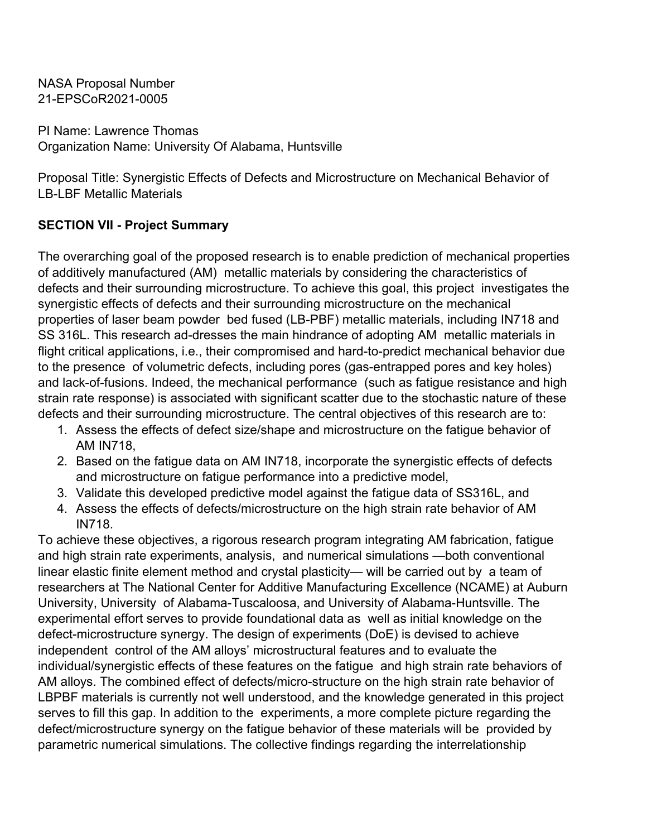PI Name: Lawrence Thomas Organization Name: University Of Alabama, Huntsville

Proposal Title: Synergistic Effects of Defects and Microstructure on Mechanical Behavior of LB-LBF Metallic Materials

## **SECTION VII - Project Summary**

The overarching goal of the proposed research is to enable prediction of mechanical properties of additively manufactured (AM) metallic materials by considering the characteristics of defects and their surrounding microstructure. To achieve this goal, this project investigates the synergistic effects of defects and their surrounding microstructure on the mechanical properties of laser beam powder bed fused (LB-PBF) metallic materials, including IN718 and SS 316L. This research ad-dresses the main hindrance of adopting AM metallic materials in flight critical applications, i.e., their compromised and hard-to-predict mechanical behavior due to the presence of volumetric defects, including pores (gas-entrapped pores and key holes) and lack-of-fusions. Indeed, the mechanical performance (such as fatigue resistance and high strain rate response) is associated with significant scatter due to the stochastic nature of these defects and their surrounding microstructure. The central objectives of this research are to:

- 1. Assess the effects of defect size/shape and microstructure on the fatigue behavior of AM IN718,
- 2. Based on the fatigue data on AM IN718, incorporate the synergistic effects of defects and microstructure on fatigue performance into a predictive model,
- 3. Validate this developed predictive model against the fatigue data of SS316L, and
- 4. Assess the effects of defects/microstructure on the high strain rate behavior of AM IN718.

To achieve these objectives, a rigorous research program integrating AM fabrication, fatigue and high strain rate experiments, analysis, and numerical simulations —both conventional linear elastic finite element method and crystal plasticity— will be carried out by a team of researchers at The National Center for Additive Manufacturing Excellence (NCAME) at Auburn University, University of Alabama-Tuscaloosa, and University of Alabama-Huntsville. The experimental effort serves to provide foundational data as well as initial knowledge on the defect-microstructure synergy. The design of experiments (DoE) is devised to achieve independent control of the AM alloys' microstructural features and to evaluate the individual/synergistic effects of these features on the fatigue and high strain rate behaviors of AM alloys. The combined effect of defects/micro-structure on the high strain rate behavior of LBPBF materials is currently not well understood, and the knowledge generated in this project serves to fill this gap. In addition to the experiments, a more complete picture regarding the defect/microstructure synergy on the fatigue behavior of these materials will be provided by parametric numerical simulations. The collective findings regarding the interrelationship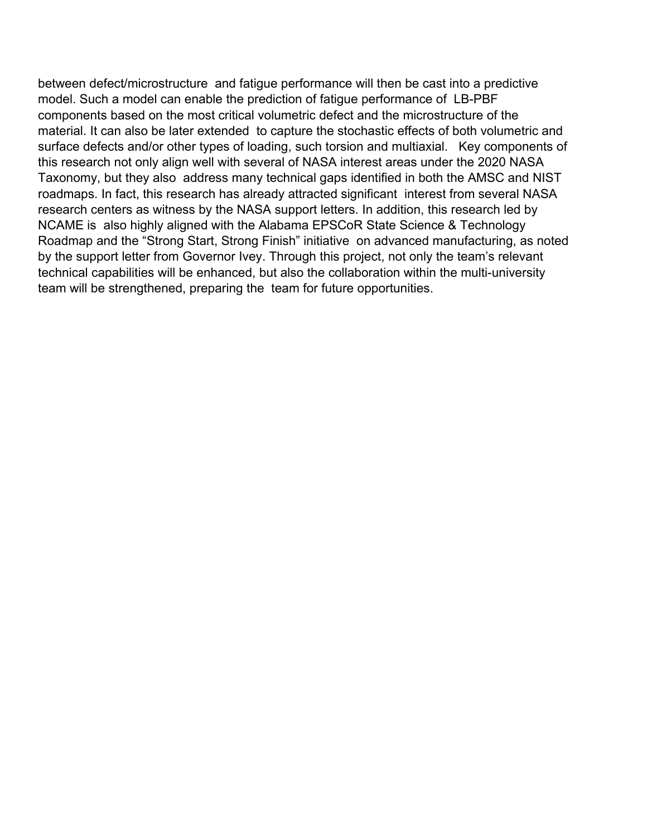between defect/microstructure and fatigue performance will then be cast into a predictive model. Such a model can enable the prediction of fatigue performance of LB-PBF components based on the most critical volumetric defect and the microstructure of the material. It can also be later extended to capture the stochastic effects of both volumetric and surface defects and/or other types of loading, such torsion and multiaxial. Key components of this research not only align well with several of NASA interest areas under the 2020 NASA Taxonomy, but they also address many technical gaps identified in both the AMSC and NIST roadmaps. In fact, this research has already attracted significant interest from several NASA research centers as witness by the NASA support letters. In addition, this research led by NCAME is also highly aligned with the Alabama EPSCoR State Science & Technology Roadmap and the "Strong Start, Strong Finish" initiative on advanced manufacturing, as noted by the support letter from Governor Ivey. Through this project, not only the team's relevant technical capabilities will be enhanced, but also the collaboration within the multi-university team will be strengthened, preparing the team for future opportunities.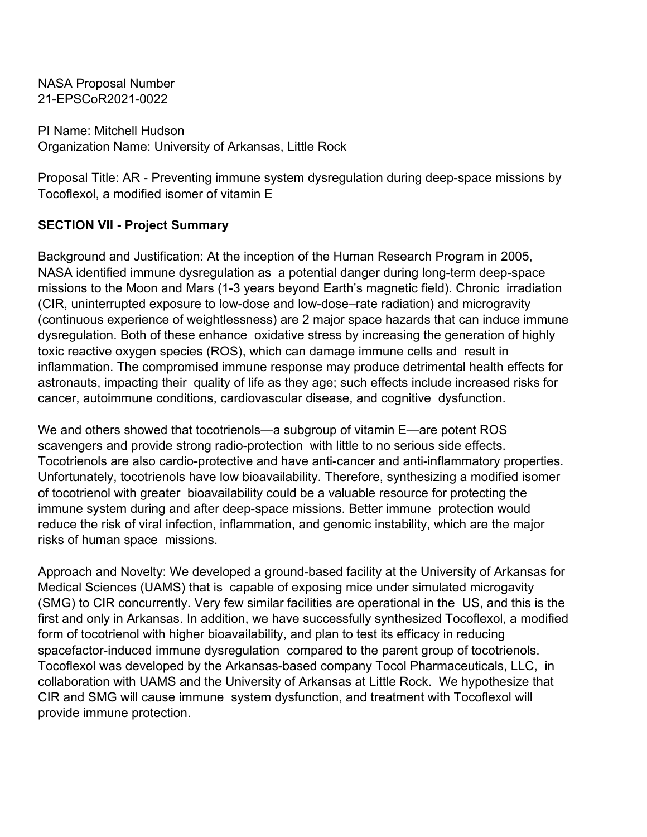PI Name: Mitchell Hudson Organization Name: University of Arkansas, Little Rock

Proposal Title: AR - Preventing immune system dysregulation during deep-space missions by Tocoflexol, a modified isomer of vitamin E

## **SECTION VII - Project Summary**

Background and Justification: At the inception of the Human Research Program in 2005, NASA identified immune dysregulation as a potential danger during long-term deep-space missions to the Moon and Mars (1-3 years beyond Earth's magnetic field). Chronic irradiation (CIR, uninterrupted exposure to low-dose and low-dose–rate radiation) and microgravity (continuous experience of weightlessness) are 2 major space hazards that can induce immune dysregulation. Both of these enhance oxidative stress by increasing the generation of highly toxic reactive oxygen species (ROS), which can damage immune cells and result in inflammation. The compromised immune response may produce detrimental health effects for astronauts, impacting their quality of life as they age; such effects include increased risks for cancer, autoimmune conditions, cardiovascular disease, and cognitive dysfunction.

We and others showed that tocotrienols—a subgroup of vitamin E—are potent ROS scavengers and provide strong radio-protection with little to no serious side effects. Tocotrienols are also cardio-protective and have anti-cancer and anti-inflammatory properties. Unfortunately, tocotrienols have low bioavailability. Therefore, synthesizing a modified isomer of tocotrienol with greater bioavailability could be a valuable resource for protecting the immune system during and after deep-space missions. Better immune protection would reduce the risk of viral infection, inflammation, and genomic instability, which are the major risks of human space missions.

Approach and Novelty: We developed a ground-based facility at the University of Arkansas for Medical Sciences (UAMS) that is capable of exposing mice under simulated microgavity (SMG) to CIR concurrently. Very few similar facilities are operational in the US, and this is the first and only in Arkansas. In addition, we have successfully synthesized Tocoflexol, a modified form of tocotrienol with higher bioavailability, and plan to test its efficacy in reducing spacefactor-induced immune dysregulation compared to the parent group of tocotrienols. Tocoflexol was developed by the Arkansas-based company Tocol Pharmaceuticals, LLC, in collaboration with UAMS and the University of Arkansas at Little Rock. We hypothesize that CIR and SMG will cause immune system dysfunction, and treatment with Tocoflexol will provide immune protection.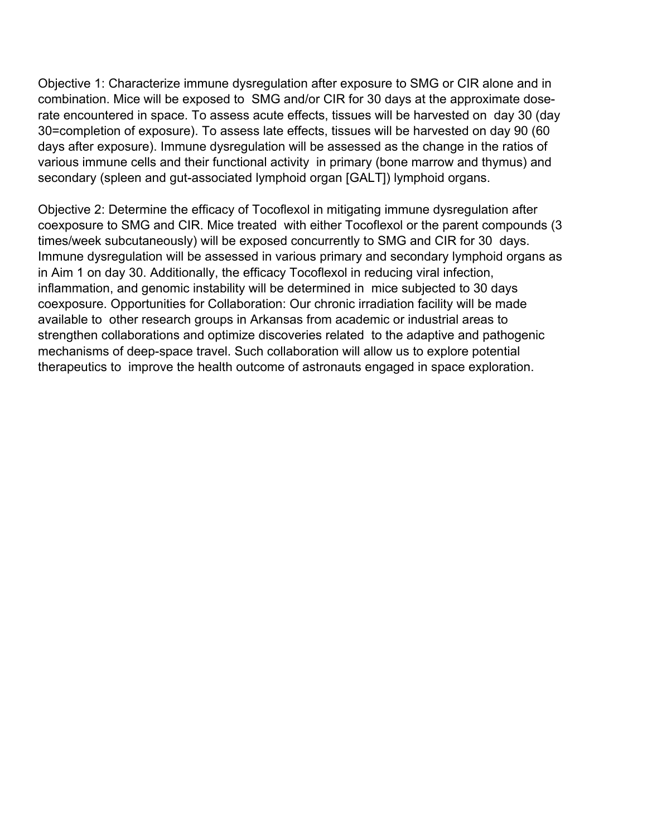Objective 1: Characterize immune dysregulation after exposure to SMG or CIR alone and in combination. Mice will be exposed to SMG and/or CIR for 30 days at the approximate doserate encountered in space. To assess acute effects, tissues will be harvested on day 30 (day 30=completion of exposure). To assess late effects, tissues will be harvested on day 90 (60 days after exposure). Immune dysregulation will be assessed as the change in the ratios of various immune cells and their functional activity in primary (bone marrow and thymus) and secondary (spleen and gut-associated lymphoid organ [GALT]) lymphoid organs.

Objective 2: Determine the efficacy of Tocoflexol in mitigating immune dysregulation after coexposure to SMG and CIR. Mice treated with either Tocoflexol or the parent compounds (3 times/week subcutaneously) will be exposed concurrently to SMG and CIR for 30 days. Immune dysregulation will be assessed in various primary and secondary lymphoid organs as in Aim 1 on day 30. Additionally, the efficacy Tocoflexol in reducing viral infection, inflammation, and genomic instability will be determined in mice subjected to 30 days coexposure. Opportunities for Collaboration: Our chronic irradiation facility will be made available to other research groups in Arkansas from academic or industrial areas to strengthen collaborations and optimize discoveries related to the adaptive and pathogenic mechanisms of deep-space travel. Such collaboration will allow us to explore potential therapeutics to improve the health outcome of astronauts engaged in space exploration.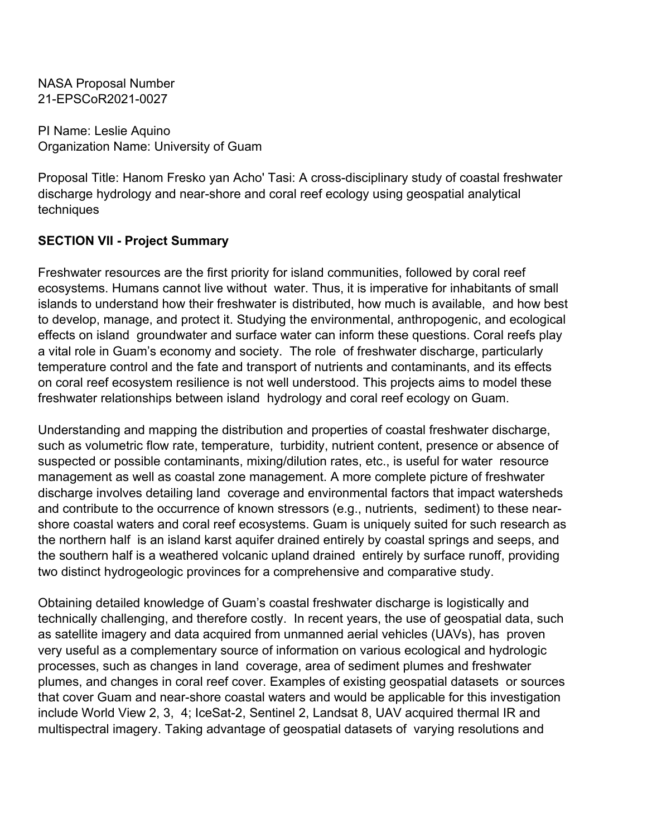PI Name: Leslie Aquino Organization Name: University of Guam

Proposal Title: Hanom Fresko yan Acho' Tasi: A cross-disciplinary study of coastal freshwater discharge hydrology and near-shore and coral reef ecology using geospatial analytical techniques

# **SECTION VII - Project Summary**

Freshwater resources are the first priority for island communities, followed by coral reef ecosystems. Humans cannot live without water. Thus, it is imperative for inhabitants of small islands to understand how their freshwater is distributed, how much is available, and how best to develop, manage, and protect it. Studying the environmental, anthropogenic, and ecological effects on island groundwater and surface water can inform these questions. Coral reefs play a vital role in Guam's economy and society. The role of freshwater discharge, particularly temperature control and the fate and transport of nutrients and contaminants, and its effects on coral reef ecosystem resilience is not well understood. This projects aims to model these freshwater relationships between island hydrology and coral reef ecology on Guam.

Understanding and mapping the distribution and properties of coastal freshwater discharge, such as volumetric flow rate, temperature, turbidity, nutrient content, presence or absence of suspected or possible contaminants, mixing/dilution rates, etc., is useful for water resource management as well as coastal zone management. A more complete picture of freshwater discharge involves detailing land coverage and environmental factors that impact watersheds and contribute to the occurrence of known stressors (e.g., nutrients, sediment) to these nearshore coastal waters and coral reef ecosystems. Guam is uniquely suited for such research as the northern half is an island karst aquifer drained entirely by coastal springs and seeps, and the southern half is a weathered volcanic upland drained entirely by surface runoff, providing two distinct hydrogeologic provinces for a comprehensive and comparative study.

Obtaining detailed knowledge of Guam's coastal freshwater discharge is logistically and technically challenging, and therefore costly. In recent years, the use of geospatial data, such as satellite imagery and data acquired from unmanned aerial vehicles (UAVs), has proven very useful as a complementary source of information on various ecological and hydrologic processes, such as changes in land coverage, area of sediment plumes and freshwater plumes, and changes in coral reef cover. Examples of existing geospatial datasets or sources that cover Guam and near-shore coastal waters and would be applicable for this investigation include World View 2, 3, 4; IceSat-2, Sentinel 2, Landsat 8, UAV acquired thermal IR and multispectral imagery. Taking advantage of geospatial datasets of varying resolutions and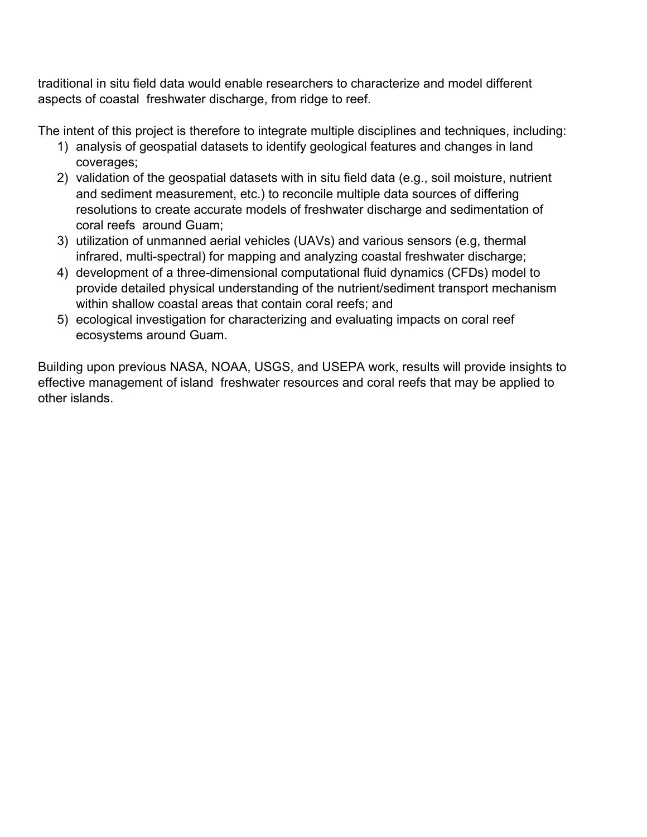traditional in situ field data would enable researchers to characterize and model different aspects of coastal freshwater discharge, from ridge to reef.

The intent of this project is therefore to integrate multiple disciplines and techniques, including:

- 1) analysis of geospatial datasets to identify geological features and changes in land coverages;
- 2) validation of the geospatial datasets with in situ field data (e.g., soil moisture, nutrient and sediment measurement, etc.) to reconcile multiple data sources of differing resolutions to create accurate models of freshwater discharge and sedimentation of coral reefs around Guam;
- 3) utilization of unmanned aerial vehicles (UAVs) and various sensors (e.g, thermal infrared, multi-spectral) for mapping and analyzing coastal freshwater discharge;
- 4) development of a three-dimensional computational fluid dynamics (CFDs) model to provide detailed physical understanding of the nutrient/sediment transport mechanism within shallow coastal areas that contain coral reefs; and
- 5) ecological investigation for characterizing and evaluating impacts on coral reef ecosystems around Guam.

Building upon previous NASA, NOAA, USGS, and USEPA work, results will provide insights to effective management of island freshwater resources and coral reefs that may be applied to other islands.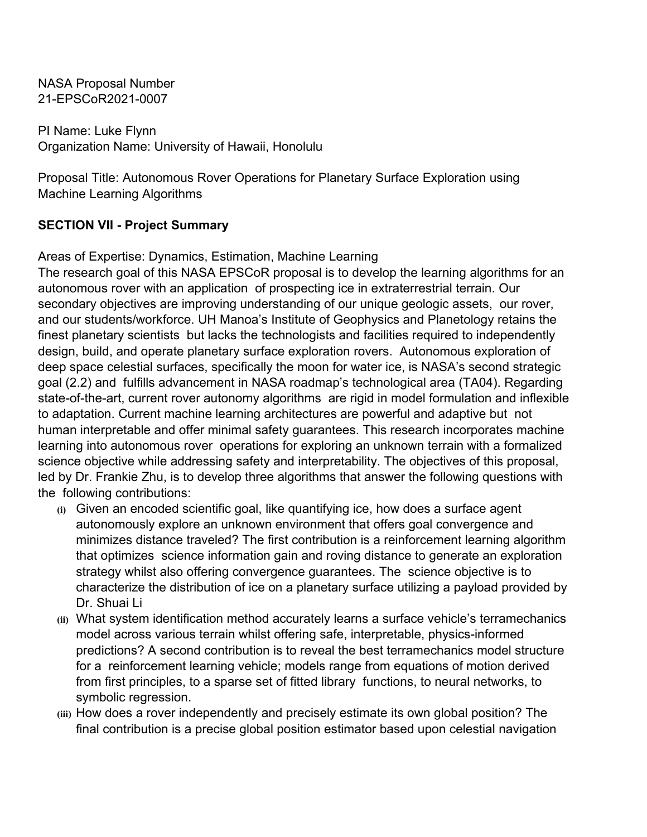PI Name: Luke Flynn Organization Name: University of Hawaii, Honolulu

Proposal Title: Autonomous Rover Operations for Planetary Surface Exploration using Machine Learning Algorithms

# **SECTION VII - Project Summary**

Areas of Expertise: Dynamics, Estimation, Machine Learning

The research goal of this NASA EPSCoR proposal is to develop the learning algorithms for an autonomous rover with an application of prospecting ice in extraterrestrial terrain. Our secondary objectives are improving understanding of our unique geologic assets, our rover, and our students/workforce. UH Manoa's Institute of Geophysics and Planetology retains the finest planetary scientists but lacks the technologists and facilities required to independently design, build, and operate planetary surface exploration rovers. Autonomous exploration of deep space celestial surfaces, specifically the moon for water ice, is NASA's second strategic goal (2.2) and fulfills advancement in NASA roadmap's technological area (TA04). Regarding state-of-the-art, current rover autonomy algorithms are rigid in model formulation and inflexible to adaptation. Current machine learning architectures are powerful and adaptive but not human interpretable and offer minimal safety guarantees. This research incorporates machine learning into autonomous rover operations for exploring an unknown terrain with a formalized science objective while addressing safety and interpretability. The objectives of this proposal, led by Dr. Frankie Zhu, is to develop three algorithms that answer the following questions with the following contributions:

- **(i)** Given an encoded scientific goal, like quantifying ice, how does a surface agent autonomously explore an unknown environment that offers goal convergence and minimizes distance traveled? The first contribution is a reinforcement learning algorithm that optimizes science information gain and roving distance to generate an exploration strategy whilst also offering convergence guarantees. The science objective is to characterize the distribution of ice on a planetary surface utilizing a payload provided by Dr. Shuai Li
- **(ii)** What system identification method accurately learns a surface vehicle's terramechanics model across various terrain whilst offering safe, interpretable, physics-informed predictions? A second contribution is to reveal the best terramechanics model structure for a reinforcement learning vehicle; models range from equations of motion derived from first principles, to a sparse set of fitted library functions, to neural networks, to symbolic regression.
- **(iii)** How does a rover independently and precisely estimate its own global position? The final contribution is a precise global position estimator based upon celestial navigation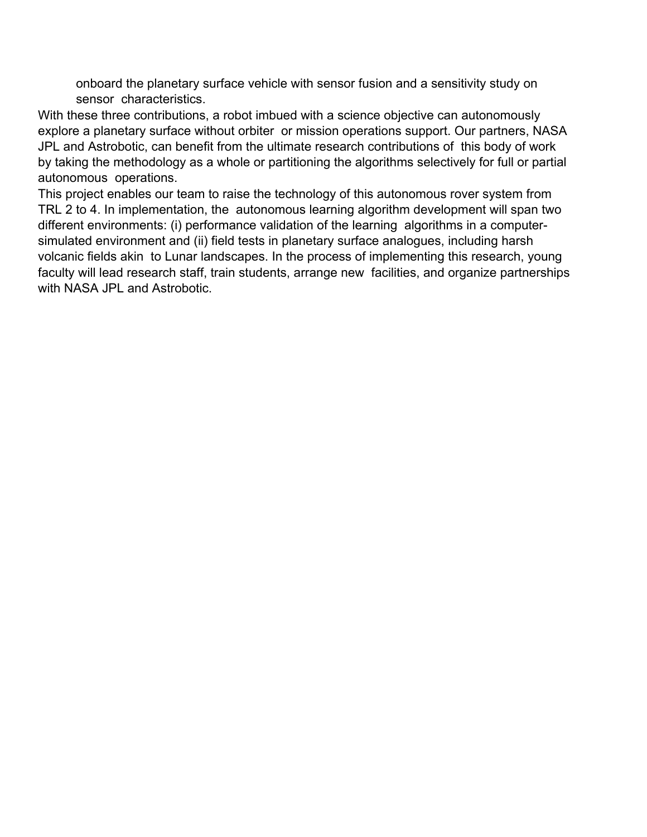onboard the planetary surface vehicle with sensor fusion and a sensitivity study on sensor characteristics.

With these three contributions, a robot imbued with a science objective can autonomously explore a planetary surface without orbiter or mission operations support. Our partners, NASA JPL and Astrobotic, can benefit from the ultimate research contributions of this body of work by taking the methodology as a whole or partitioning the algorithms selectively for full or partial autonomous operations.

This project enables our team to raise the technology of this autonomous rover system from TRL 2 to 4. In implementation, the autonomous learning algorithm development will span two different environments: (i) performance validation of the learning algorithms in a computersimulated environment and (ii) field tests in planetary surface analogues, including harsh volcanic fields akin to Lunar landscapes. In the process of implementing this research, young faculty will lead research staff, train students, arrange new facilities, and organize partnerships with NASA JPL and Astrobotic.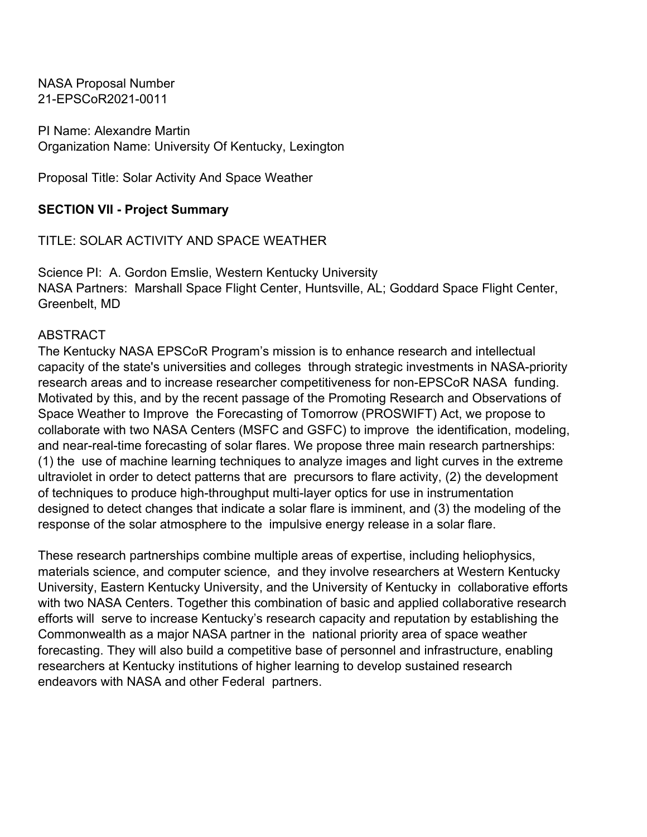PI Name: Alexandre Martin Organization Name: University Of Kentucky, Lexington

Proposal Title: Solar Activity And Space Weather

## **SECTION VII - Project Summary**

TITLE: SOLAR ACTIVITY AND SPACE WEATHER

Science PI: A. Gordon Emslie, Western Kentucky University NASA Partners: Marshall Space Flight Center, Huntsville, AL; Goddard Space Flight Center, Greenbelt, MD

#### ABSTRACT

The Kentucky NASA EPSCoR Program's mission is to enhance research and intellectual capacity of the state's universities and colleges through strategic investments in NASA-priority research areas and to increase researcher competitiveness for non-EPSCoR NASA funding. Motivated by this, and by the recent passage of the Promoting Research and Observations of Space Weather to Improve the Forecasting of Tomorrow (PROSWIFT) Act, we propose to collaborate with two NASA Centers (MSFC and GSFC) to improve the identification, modeling, and near-real-time forecasting of solar flares. We propose three main research partnerships: (1) the use of machine learning techniques to analyze images and light curves in the extreme ultraviolet in order to detect patterns that are precursors to flare activity, (2) the development of techniques to produce high-throughput multi-layer optics for use in instrumentation designed to detect changes that indicate a solar flare is imminent, and (3) the modeling of the response of the solar atmosphere to the impulsive energy release in a solar flare.

These research partnerships combine multiple areas of expertise, including heliophysics, materials science, and computer science, and they involve researchers at Western Kentucky University, Eastern Kentucky University, and the University of Kentucky in collaborative efforts with two NASA Centers. Together this combination of basic and applied collaborative research efforts will serve to increase Kentucky's research capacity and reputation by establishing the Commonwealth as a major NASA partner in the national priority area of space weather forecasting. They will also build a competitive base of personnel and infrastructure, enabling researchers at Kentucky institutions of higher learning to develop sustained research endeavors with NASA and other Federal partners.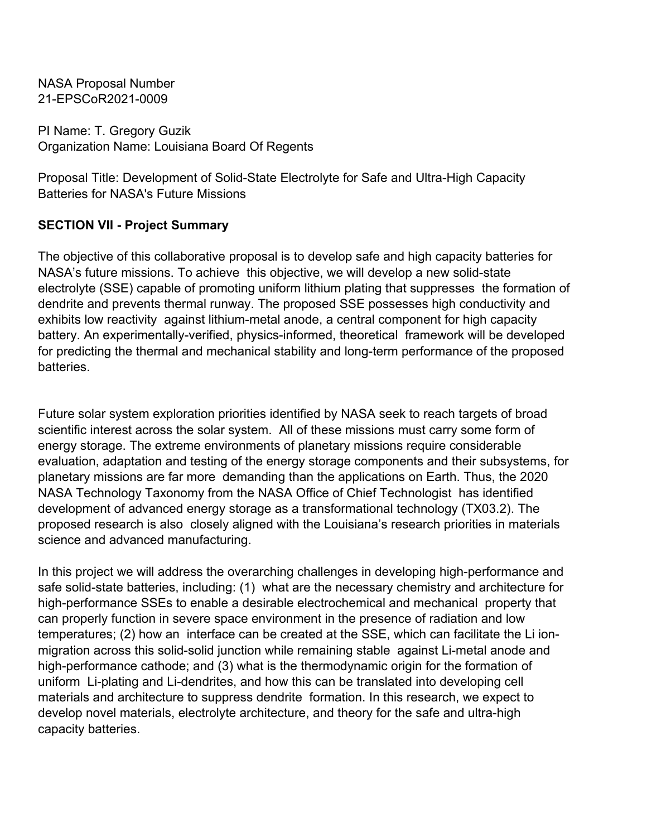PI Name: T. Gregory Guzik Organization Name: Louisiana Board Of Regents

Proposal Title: Development of Solid-State Electrolyte for Safe and Ultra-High Capacity Batteries for NASA's Future Missions

## **SECTION VII - Project Summary**

The objective of this collaborative proposal is to develop safe and high capacity batteries for NASA's future missions. To achieve this objective, we will develop a new solid-state electrolyte (SSE) capable of promoting uniform lithium plating that suppresses the formation of dendrite and prevents thermal runway. The proposed SSE possesses high conductivity and exhibits low reactivity against lithium-metal anode, a central component for high capacity battery. An experimentally-verified, physics-informed, theoretical framework will be developed for predicting the thermal and mechanical stability and long-term performance of the proposed batteries.

Future solar system exploration priorities identified by NASA seek to reach targets of broad scientific interest across the solar system. All of these missions must carry some form of energy storage. The extreme environments of planetary missions require considerable evaluation, adaptation and testing of the energy storage components and their subsystems, for planetary missions are far more demanding than the applications on Earth. Thus, the 2020 NASA Technology Taxonomy from the NASA Office of Chief Technologist has identified development of advanced energy storage as a transformational technology (TX03.2). The proposed research is also closely aligned with the Louisiana's research priorities in materials science and advanced manufacturing.

In this project we will address the overarching challenges in developing high-performance and safe solid-state batteries, including: (1) what are the necessary chemistry and architecture for high-performance SSEs to enable a desirable electrochemical and mechanical property that can properly function in severe space environment in the presence of radiation and low temperatures; (2) how an interface can be created at the SSE, which can facilitate the Li ionmigration across this solid-solid junction while remaining stable against Li-metal anode and high-performance cathode; and (3) what is the thermodynamic origin for the formation of uniform Li-plating and Li-dendrites, and how this can be translated into developing cell materials and architecture to suppress dendrite formation. In this research, we expect to develop novel materials, electrolyte architecture, and theory for the safe and ultra-high capacity batteries.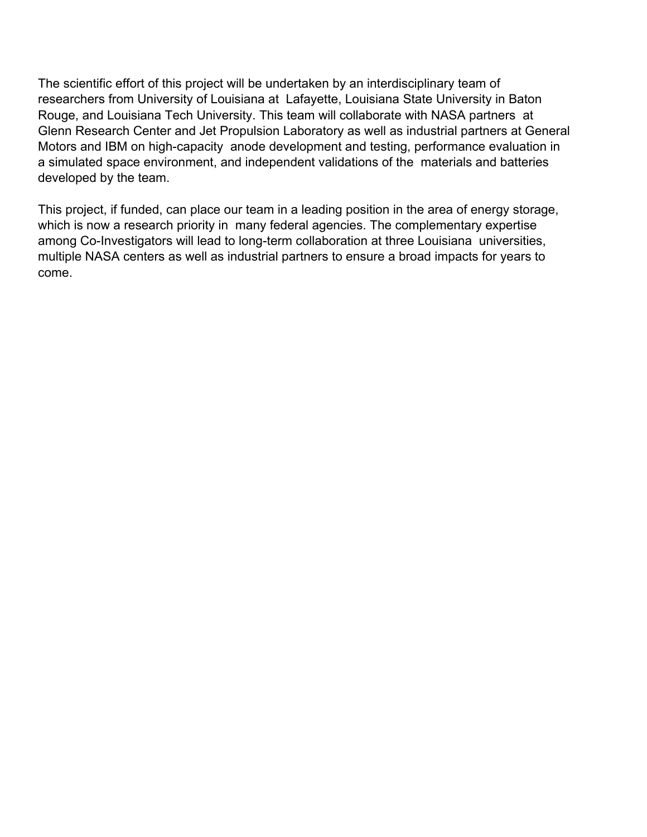The scientific effort of this project will be undertaken by an interdisciplinary team of researchers from University of Louisiana at Lafayette, Louisiana State University in Baton Rouge, and Louisiana Tech University. This team will collaborate with NASA partners at Glenn Research Center and Jet Propulsion Laboratory as well as industrial partners at General Motors and IBM on high-capacity anode development and testing, performance evaluation in a simulated space environment, and independent validations of the materials and batteries developed by the team.

This project, if funded, can place our team in a leading position in the area of energy storage, which is now a research priority in many federal agencies. The complementary expertise among Co-Investigators will lead to long-term collaboration at three Louisiana universities, multiple NASA centers as well as industrial partners to ensure a broad impacts for years to come.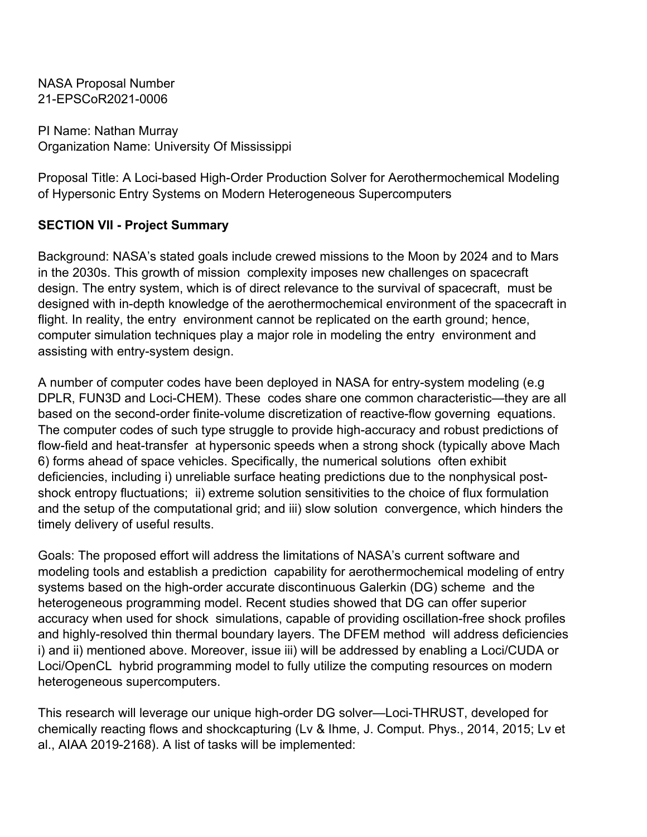PI Name: Nathan Murray Organization Name: University Of Mississippi

Proposal Title: A Loci-based High-Order Production Solver for Aerothermochemical Modeling of Hypersonic Entry Systems on Modern Heterogeneous Supercomputers

## **SECTION VII - Project Summary**

Background: NASA's stated goals include crewed missions to the Moon by 2024 and to Mars in the 2030s. This growth of mission complexity imposes new challenges on spacecraft design. The entry system, which is of direct relevance to the survival of spacecraft, must be designed with in-depth knowledge of the aerothermochemical environment of the spacecraft in flight. In reality, the entry environment cannot be replicated on the earth ground; hence, computer simulation techniques play a major role in modeling the entry environment and assisting with entry-system design.

A number of computer codes have been deployed in NASA for entry-system modeling (e.g DPLR, FUN3D and Loci-CHEM). These codes share one common characteristic—they are all based on the second-order finite-volume discretization of reactive-flow governing equations. The computer codes of such type struggle to provide high-accuracy and robust predictions of flow-field and heat-transfer at hypersonic speeds when a strong shock (typically above Mach 6) forms ahead of space vehicles. Specifically, the numerical solutions often exhibit deficiencies, including i) unreliable surface heating predictions due to the nonphysical postshock entropy fluctuations; ii) extreme solution sensitivities to the choice of flux formulation and the setup of the computational grid; and iii) slow solution convergence, which hinders the timely delivery of useful results.

Goals: The proposed effort will address the limitations of NASA's current software and modeling tools and establish a prediction capability for aerothermochemical modeling of entry systems based on the high-order accurate discontinuous Galerkin (DG) scheme and the heterogeneous programming model. Recent studies showed that DG can offer superior accuracy when used for shock simulations, capable of providing oscillation-free shock profiles and highly-resolved thin thermal boundary layers. The DFEM method will address deficiencies i) and ii) mentioned above. Moreover, issue iii) will be addressed by enabling a Loci/CUDA or Loci/OpenCL hybrid programming model to fully utilize the computing resources on modern heterogeneous supercomputers.

This research will leverage our unique high-order DG solver—Loci-THRUST, developed for chemically reacting flows and shockcapturing (Lv & Ihme, J. Comput. Phys., 2014, 2015; Lv et al., AIAA 2019-2168). A list of tasks will be implemented: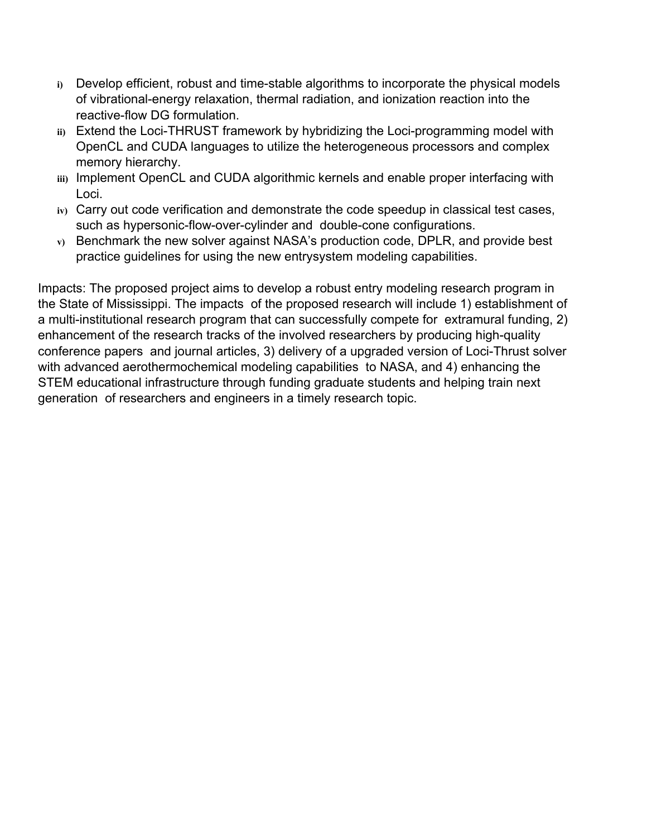- **i)** Develop efficient, robust and time-stable algorithms to incorporate the physical models of vibrational-energy relaxation, thermal radiation, and ionization reaction into the reactive-flow DG formulation.
- **ii)** Extend the Loci-THRUST framework by hybridizing the Loci-programming model with OpenCL and CUDA languages to utilize the heterogeneous processors and complex memory hierarchy.
- **iii)** Implement OpenCL and CUDA algorithmic kernels and enable proper interfacing with Loci.
- **iv)** Carry out code verification and demonstrate the code speedup in classical test cases, such as hypersonic-flow-over-cylinder and double-cone configurations.
- **v)** Benchmark the new solver against NASA's production code, DPLR, and provide best practice guidelines for using the new entrysystem modeling capabilities.

Impacts: The proposed project aims to develop a robust entry modeling research program in the State of Mississippi. The impacts of the proposed research will include 1) establishment of a multi-institutional research program that can successfully compete for extramural funding, 2) enhancement of the research tracks of the involved researchers by producing high-quality conference papers and journal articles, 3) delivery of a upgraded version of Loci-Thrust solver with advanced aerothermochemical modeling capabilities to NASA, and 4) enhancing the STEM educational infrastructure through funding graduate students and helping train next generation of researchers and engineers in a timely research topic.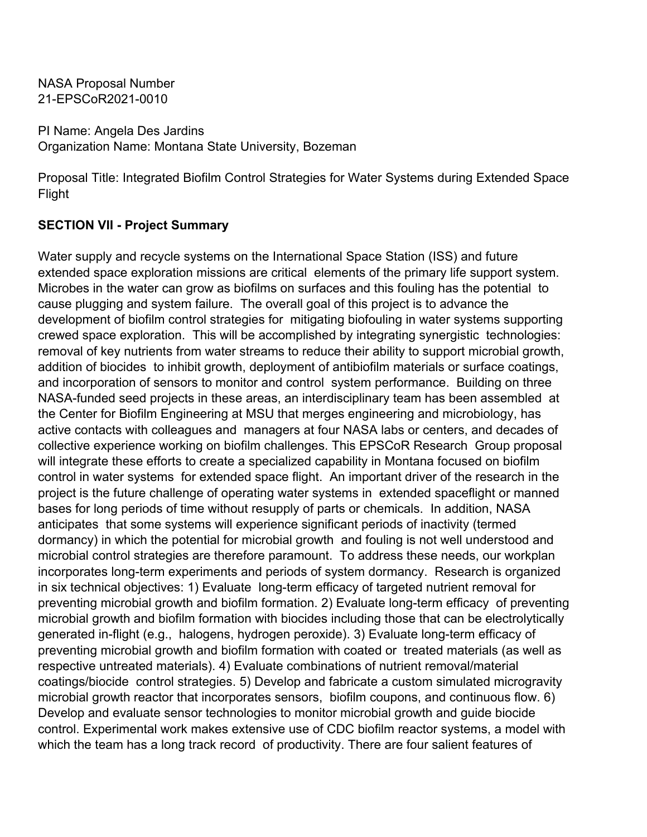PI Name: Angela Des Jardins Organization Name: Montana State University, Bozeman

Proposal Title: Integrated Biofilm Control Strategies for Water Systems during Extended Space Flight

#### **SECTION VII - Project Summary**

Water supply and recycle systems on the International Space Station (ISS) and future extended space exploration missions are critical elements of the primary life support system. Microbes in the water can grow as biofilms on surfaces and this fouling has the potential to cause plugging and system failure. The overall goal of this project is to advance the development of biofilm control strategies for mitigating biofouling in water systems supporting crewed space exploration. This will be accomplished by integrating synergistic technologies: removal of key nutrients from water streams to reduce their ability to support microbial growth, addition of biocides to inhibit growth, deployment of antibiofilm materials or surface coatings, and incorporation of sensors to monitor and control system performance. Building on three NASA-funded seed projects in these areas, an interdisciplinary team has been assembled at the Center for Biofilm Engineering at MSU that merges engineering and microbiology, has active contacts with colleagues and managers at four NASA labs or centers, and decades of collective experience working on biofilm challenges. This EPSCoR Research Group proposal will integrate these efforts to create a specialized capability in Montana focused on biofilm control in water systems for extended space flight. An important driver of the research in the project is the future challenge of operating water systems in extended spaceflight or manned bases for long periods of time without resupply of parts or chemicals. In addition, NASA anticipates that some systems will experience significant periods of inactivity (termed dormancy) in which the potential for microbial growth and fouling is not well understood and microbial control strategies are therefore paramount. To address these needs, our workplan incorporates long-term experiments and periods of system dormancy. Research is organized in six technical objectives: 1) Evaluate long-term efficacy of targeted nutrient removal for preventing microbial growth and biofilm formation. 2) Evaluate long-term efficacy of preventing microbial growth and biofilm formation with biocides including those that can be electrolytically generated in-flight (e.g., halogens, hydrogen peroxide). 3) Evaluate long-term efficacy of preventing microbial growth and biofilm formation with coated or treated materials (as well as respective untreated materials). 4) Evaluate combinations of nutrient removal/material coatings/biocide control strategies. 5) Develop and fabricate a custom simulated microgravity microbial growth reactor that incorporates sensors, biofilm coupons, and continuous flow. 6) Develop and evaluate sensor technologies to monitor microbial growth and guide biocide control. Experimental work makes extensive use of CDC biofilm reactor systems, a model with which the team has a long track record of productivity. There are four salient features of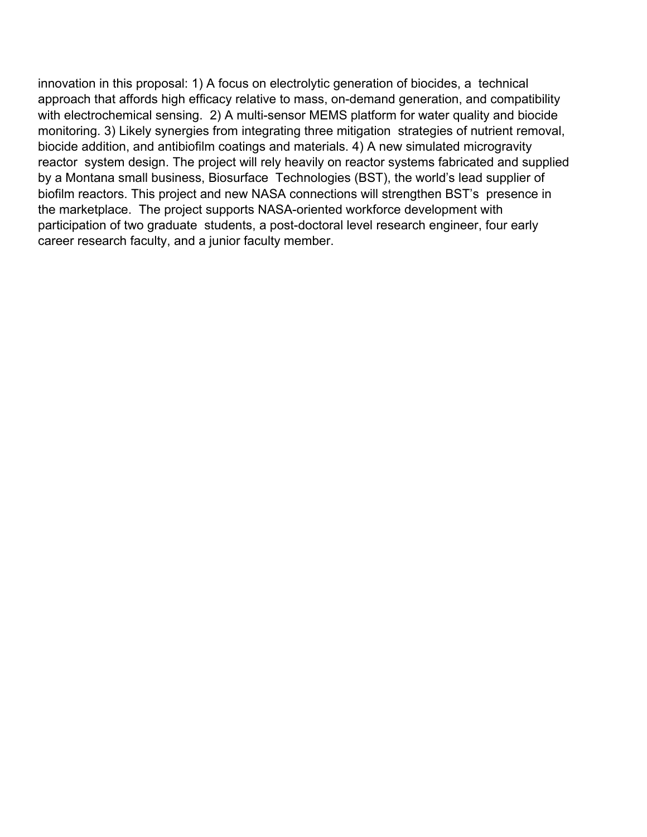innovation in this proposal: 1) A focus on electrolytic generation of biocides, a technical approach that affords high efficacy relative to mass, on-demand generation, and compatibility with electrochemical sensing. 2) A multi-sensor MEMS platform for water quality and biocide monitoring. 3) Likely synergies from integrating three mitigation strategies of nutrient removal, biocide addition, and antibiofilm coatings and materials. 4) A new simulated microgravity reactor system design. The project will rely heavily on reactor systems fabricated and supplied by a Montana small business, Biosurface Technologies (BST), the world's lead supplier of biofilm reactors. This project and new NASA connections will strengthen BST's presence in the marketplace. The project supports NASA-oriented workforce development with participation of two graduate students, a post-doctoral level research engineer, four early career research faculty, and a junior faculty member.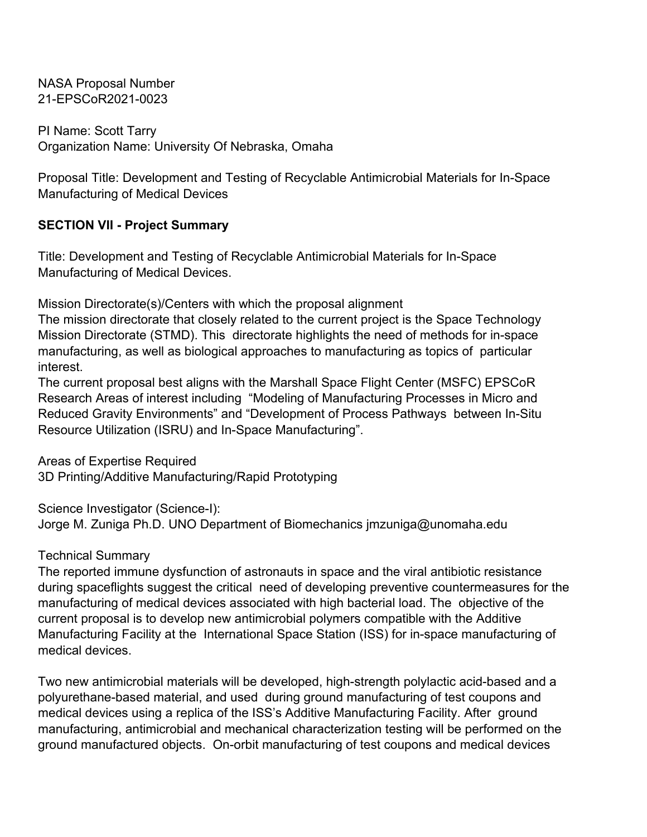PI Name: Scott Tarry Organization Name: University Of Nebraska, Omaha

Proposal Title: Development and Testing of Recyclable Antimicrobial Materials for In-Space Manufacturing of Medical Devices

## **SECTION VII - Project Summary**

Title: Development and Testing of Recyclable Antimicrobial Materials for In-Space Manufacturing of Medical Devices.

Mission Directorate(s)/Centers with which the proposal alignment

The mission directorate that closely related to the current project is the Space Technology Mission Directorate (STMD). This directorate highlights the need of methods for in-space manufacturing, as well as biological approaches to manufacturing as topics of particular interest.

The current proposal best aligns with the Marshall Space Flight Center (MSFC) EPSCoR Research Areas of interest including "Modeling of Manufacturing Processes in Micro and Reduced Gravity Environments" and "Development of Process Pathways between In-Situ Resource Utilization (ISRU) and In-Space Manufacturing".

Areas of Expertise Required 3D Printing/Additive Manufacturing/Rapid Prototyping

Science Investigator (Science-I): Jorge M. Zuniga Ph.D. UNO Department of Biomechanics jmzuniga@unomaha.edu

#### Technical Summary

The reported immune dysfunction of astronauts in space and the viral antibiotic resistance during spaceflights suggest the critical need of developing preventive countermeasures for the manufacturing of medical devices associated with high bacterial load. The objective of the current proposal is to develop new antimicrobial polymers compatible with the Additive Manufacturing Facility at the International Space Station (ISS) for in-space manufacturing of medical devices.

Two new antimicrobial materials will be developed, high-strength polylactic acid-based and a polyurethane-based material, and used during ground manufacturing of test coupons and medical devices using a replica of the ISS's Additive Manufacturing Facility. After ground manufacturing, antimicrobial and mechanical characterization testing will be performed on the ground manufactured objects. On-orbit manufacturing of test coupons and medical devices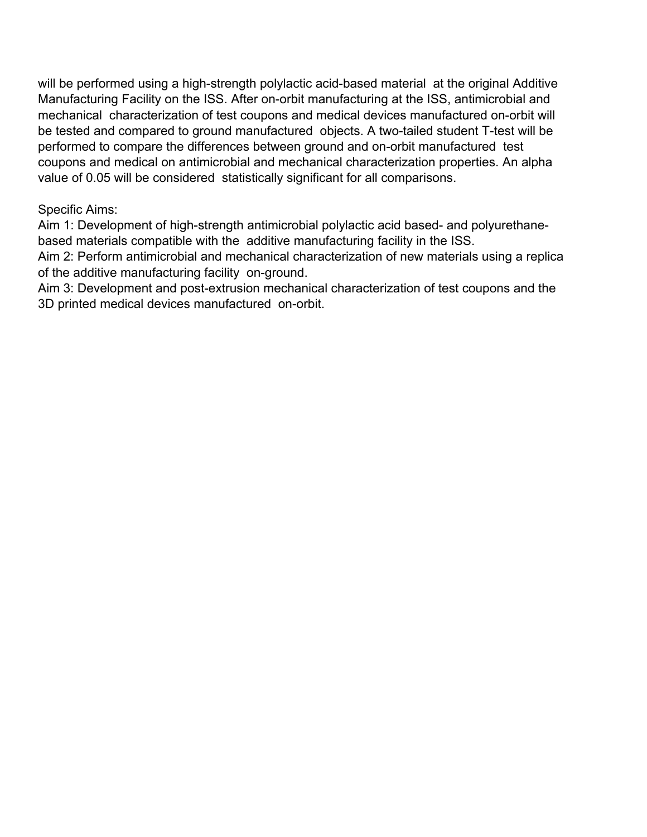will be performed using a high-strength polylactic acid-based material at the original Additive Manufacturing Facility on the ISS. After on-orbit manufacturing at the ISS, antimicrobial and mechanical characterization of test coupons and medical devices manufactured on-orbit will be tested and compared to ground manufactured objects. A two-tailed student T-test will be performed to compare the differences between ground and on-orbit manufactured test coupons and medical on antimicrobial and mechanical characterization properties. An alpha value of 0.05 will be considered statistically significant for all comparisons.

#### Specific Aims:

Aim 1: Development of high-strength antimicrobial polylactic acid based- and polyurethanebased materials compatible with the additive manufacturing facility in the ISS.

Aim 2: Perform antimicrobial and mechanical characterization of new materials using a replica of the additive manufacturing facility on-ground.

Aim 3: Development and post-extrusion mechanical characterization of test coupons and the 3D printed medical devices manufactured on-orbit.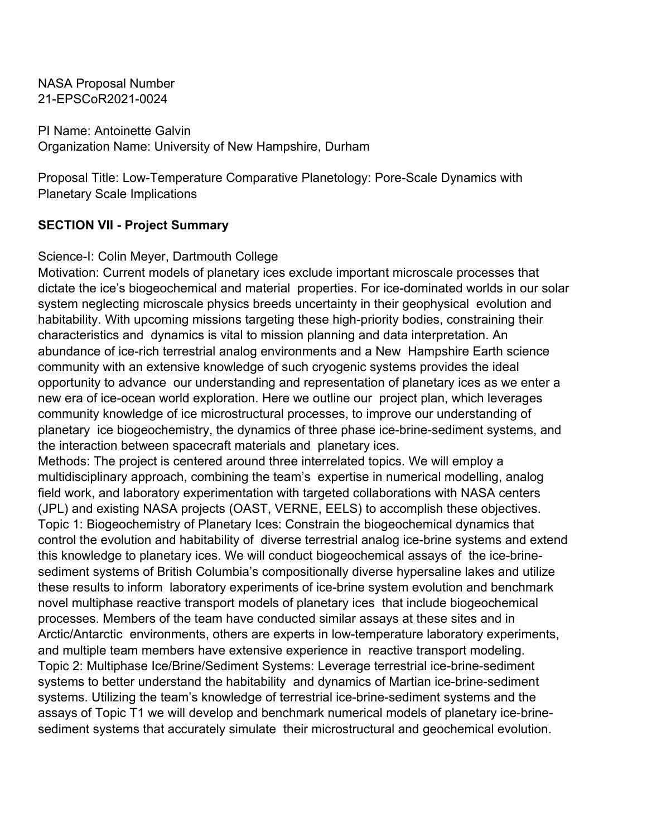PI Name: Antoinette Galvin Organization Name: University of New Hampshire, Durham

Proposal Title: Low-Temperature Comparative Planetology: Pore-Scale Dynamics with Planetary Scale Implications

#### **SECTION VII - Project Summary**

#### Science-I: Colin Meyer, Dartmouth College

Motivation: Current models of planetary ices exclude important microscale processes that dictate the ice's biogeochemical and material properties. For ice-dominated worlds in our solar system neglecting microscale physics breeds uncertainty in their geophysical evolution and habitability. With upcoming missions targeting these high-priority bodies, constraining their characteristics and dynamics is vital to mission planning and data interpretation. An abundance of ice-rich terrestrial analog environments and a New Hampshire Earth science community with an extensive knowledge of such cryogenic systems provides the ideal opportunity to advance our understanding and representation of planetary ices as we enter a new era of ice-ocean world exploration. Here we outline our project plan, which leverages community knowledge of ice microstructural processes, to improve our understanding of planetary ice biogeochemistry, the dynamics of three phase ice-brine-sediment systems, and the interaction between spacecraft materials and planetary ices.

Methods: The project is centered around three interrelated topics. We will employ a multidisciplinary approach, combining the team's expertise in numerical modelling, analog field work, and laboratory experimentation with targeted collaborations with NASA centers (JPL) and existing NASA projects (OAST, VERNE, EELS) to accomplish these objectives. Topic 1: Biogeochemistry of Planetary Ices: Constrain the biogeochemical dynamics that control the evolution and habitability of diverse terrestrial analog ice-brine systems and extend this knowledge to planetary ices. We will conduct biogeochemical assays of the ice-brinesediment systems of British Columbia's compositionally diverse hypersaline lakes and utilize these results to inform laboratory experiments of ice-brine system evolution and benchmark novel multiphase reactive transport models of planetary ices that include biogeochemical processes. Members of the team have conducted similar assays at these sites and in Arctic/Antarctic environments, others are experts in low-temperature laboratory experiments, and multiple team members have extensive experience in reactive transport modeling. Topic 2: Multiphase Ice/Brine/Sediment Systems: Leverage terrestrial ice-brine-sediment systems to better understand the habitability and dynamics of Martian ice-brine-sediment systems. Utilizing the team's knowledge of terrestrial ice-brine-sediment systems and the assays of Topic T1 we will develop and benchmark numerical models of planetary ice-brinesediment systems that accurately simulate their microstructural and geochemical evolution.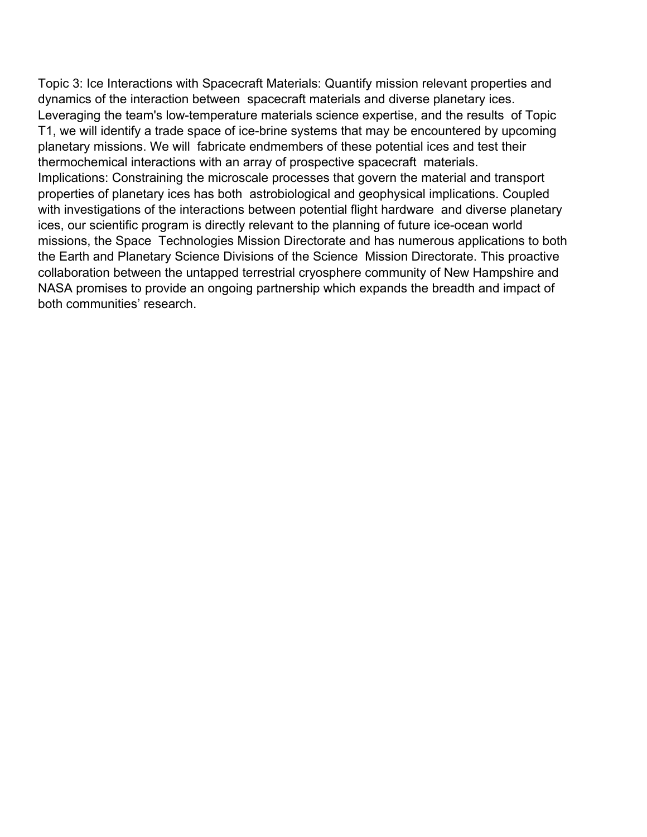Topic 3: Ice Interactions with Spacecraft Materials: Quantify mission relevant properties and dynamics of the interaction between spacecraft materials and diverse planetary ices. Leveraging the team's low-temperature materials science expertise, and the results of Topic T1, we will identify a trade space of ice-brine systems that may be encountered by upcoming planetary missions. We will fabricate endmembers of these potential ices and test their thermochemical interactions with an array of prospective spacecraft materials. Implications: Constraining the microscale processes that govern the material and transport properties of planetary ices has both astrobiological and geophysical implications. Coupled with investigations of the interactions between potential flight hardware and diverse planetary ices, our scientific program is directly relevant to the planning of future ice-ocean world missions, the Space Technologies Mission Directorate and has numerous applications to both the Earth and Planetary Science Divisions of the Science Mission Directorate. This proactive collaboration between the untapped terrestrial cryosphere community of New Hampshire and NASA promises to provide an ongoing partnership which expands the breadth and impact of both communities' research.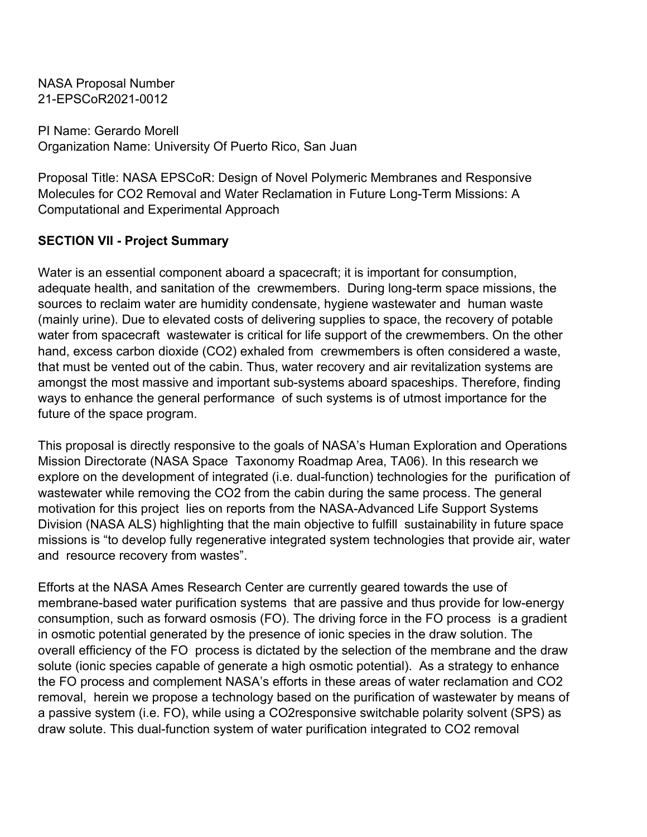PI Name: Gerardo Morell Organization Name: University Of Puerto Rico, San Juan

Proposal Title: NASA EPSCoR: Design of Novel Polymeric Membranes and Responsive Molecules for CO2 Removal and Water Reclamation in Future Long-Term Missions: A Computational and Experimental Approach

# **SECTION VII - Project Summary**

Water is an essential component aboard a spacecraft; it is important for consumption, adequate health, and sanitation of the crewmembers. During long-term space missions, the sources to reclaim water are humidity condensate, hygiene wastewater and human waste (mainly urine). Due to elevated costs of delivering supplies to space, the recovery of potable water from spacecraft wastewater is critical for life support of the crewmembers. On the other hand, excess carbon dioxide (CO2) exhaled from crewmembers is often considered a waste, that must be vented out of the cabin. Thus, water recovery and air revitalization systems are amongst the most massive and important sub-systems aboard spaceships. Therefore, finding ways to enhance the general performance of such systems is of utmost importance for the future of the space program.

This proposal is directly responsive to the goals of NASA's Human Exploration and Operations Mission Directorate (NASA Space Taxonomy Roadmap Area, TA06). In this research we explore on the development of integrated (i.e. dual-function) technologies for the purification of wastewater while removing the CO2 from the cabin during the same process. The general motivation for this project lies on reports from the NASA-Advanced Life Support Systems Division (NASA ALS) highlighting that the main objective to fulfill sustainability in future space missions is "to develop fully regenerative integrated system technologies that provide air, water and resource recovery from wastes".

Efforts at the NASA Ames Research Center are currently geared towards the use of membrane-based water purification systems that are passive and thus provide for low-energy consumption, such as forward osmosis (FO). The driving force in the FO process is a gradient in osmotic potential generated by the presence of ionic species in the draw solution. The overall efficiency of the FO process is dictated by the selection of the membrane and the draw solute (ionic species capable of generate a high osmotic potential). As a strategy to enhance the FO process and complement NASA's efforts in these areas of water reclamation and CO2 removal, herein we propose a technology based on the purification of wastewater by means of a passive system (i.e. FO), while using a CO2responsive switchable polarity solvent (SPS) as draw solute. This dual-function system of water purification integrated to CO2 removal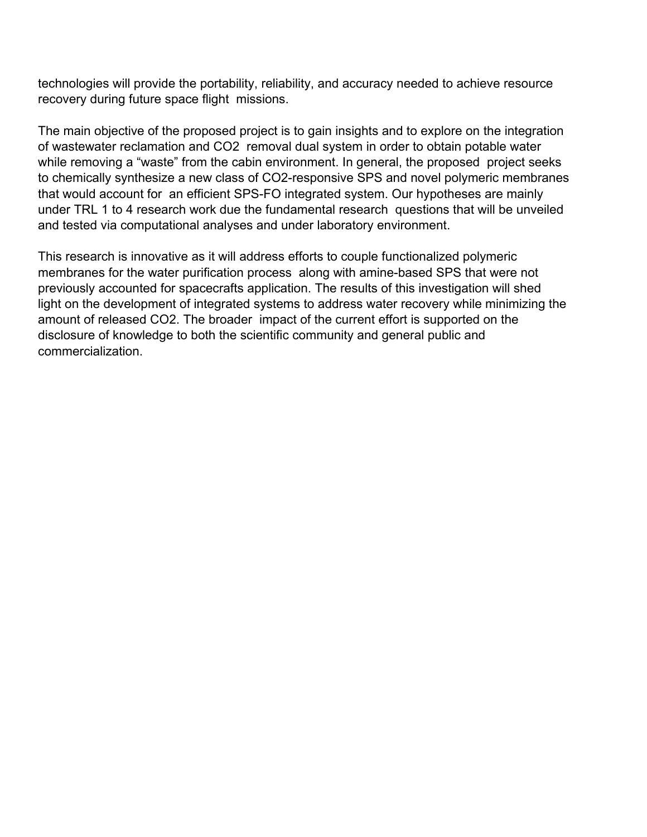technologies will provide the portability, reliability, and accuracy needed to achieve resource recovery during future space flight missions.

The main objective of the proposed project is to gain insights and to explore on the integration of wastewater reclamation and CO2 removal dual system in order to obtain potable water while removing a "waste" from the cabin environment. In general, the proposed project seeks to chemically synthesize a new class of CO2-responsive SPS and novel polymeric membranes that would account for an efficient SPS-FO integrated system. Our hypotheses are mainly under TRL 1 to 4 research work due the fundamental research questions that will be unveiled and tested via computational analyses and under laboratory environment.

This research is innovative as it will address efforts to couple functionalized polymeric membranes for the water purification process along with amine-based SPS that were not previously accounted for spacecrafts application. The results of this investigation will shed light on the development of integrated systems to address water recovery while minimizing the amount of released CO2. The broader impact of the current effort is supported on the disclosure of knowledge to both the scientific community and general public and commercialization.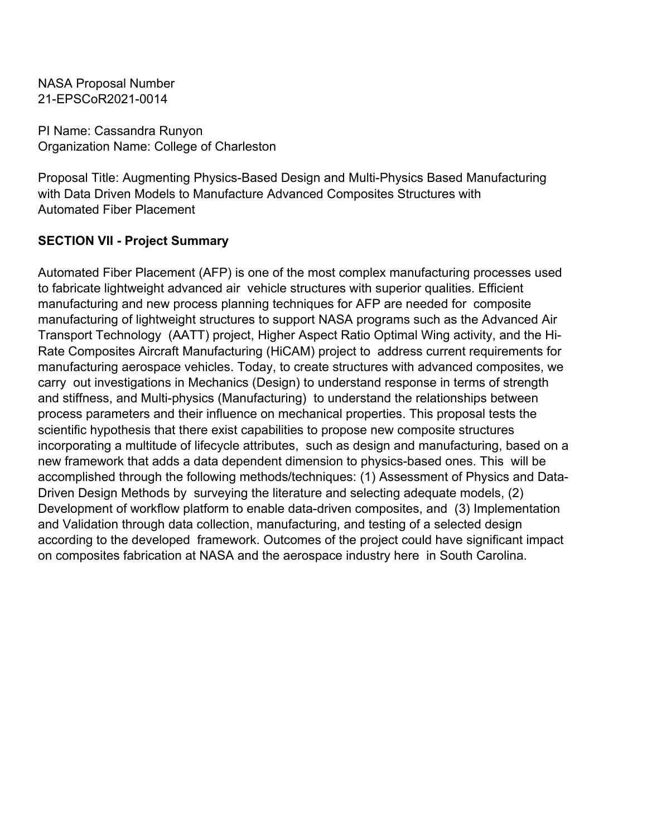PI Name: Cassandra Runyon Organization Name: College of Charleston

Proposal Title: Augmenting Physics-Based Design and Multi-Physics Based Manufacturing with Data Driven Models to Manufacture Advanced Composites Structures with Automated Fiber Placement

## **SECTION VII - Project Summary**

Automated Fiber Placement (AFP) is one of the most complex manufacturing processes used to fabricate lightweight advanced air vehicle structures with superior qualities. Efficient manufacturing and new process planning techniques for AFP are needed for composite manufacturing of lightweight structures to support NASA programs such as the Advanced Air Transport Technology (AATT) project, Higher Aspect Ratio Optimal Wing activity, and the Hi-Rate Composites Aircraft Manufacturing (HiCAM) project to address current requirements for manufacturing aerospace vehicles. Today, to create structures with advanced composites, we carry out investigations in Mechanics (Design) to understand response in terms of strength and stiffness, and Multi-physics (Manufacturing) to understand the relationships between process parameters and their influence on mechanical properties. This proposal tests the scientific hypothesis that there exist capabilities to propose new composite structures incorporating a multitude of lifecycle attributes, such as design and manufacturing, based on a new framework that adds a data dependent dimension to physics-based ones. This will be accomplished through the following methods/techniques: (1) Assessment of Physics and Data-Driven Design Methods by surveying the literature and selecting adequate models, (2) Development of workflow platform to enable data-driven composites, and (3) Implementation and Validation through data collection, manufacturing, and testing of a selected design according to the developed framework. Outcomes of the project could have significant impact on composites fabrication at NASA and the aerospace industry here in South Carolina.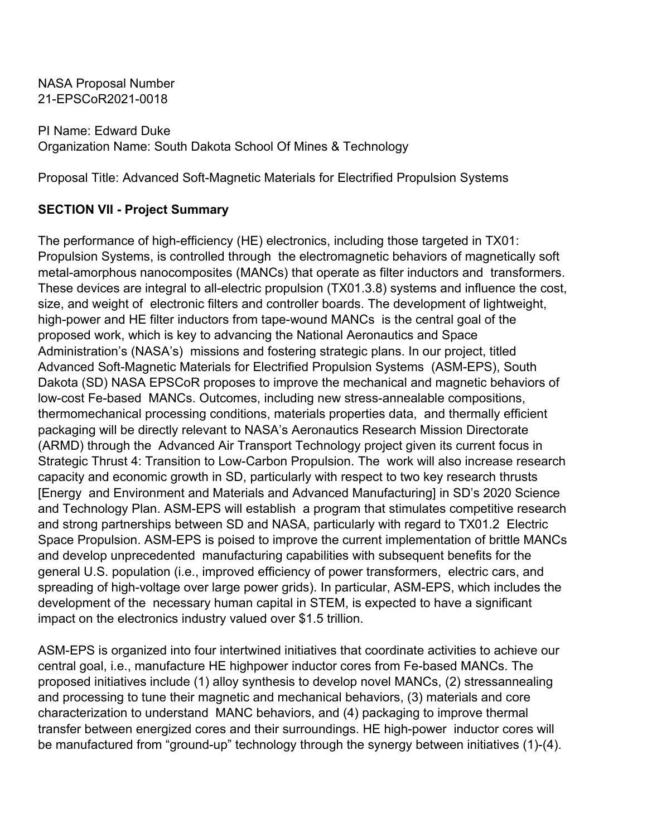PI Name: Edward Duke Organization Name: South Dakota School Of Mines & Technology

Proposal Title: Advanced Soft-Magnetic Materials for Electrified Propulsion Systems

# **SECTION VII - Project Summary**

The performance of high-efficiency (HE) electronics, including those targeted in TX01: Propulsion Systems, is controlled through the electromagnetic behaviors of magnetically soft metal-amorphous nanocomposites (MANCs) that operate as filter inductors and transformers. These devices are integral to all-electric propulsion (TX01.3.8) systems and influence the cost, size, and weight of electronic filters and controller boards. The development of lightweight, high-power and HE filter inductors from tape-wound MANCs is the central goal of the proposed work, which is key to advancing the National Aeronautics and Space Administration's (NASA's) missions and fostering strategic plans. In our project, titled Advanced Soft-Magnetic Materials for Electrified Propulsion Systems (ASM-EPS), South Dakota (SD) NASA EPSCoR proposes to improve the mechanical and magnetic behaviors of low-cost Fe-based MANCs. Outcomes, including new stress-annealable compositions, thermomechanical processing conditions, materials properties data, and thermally efficient packaging will be directly relevant to NASA's Aeronautics Research Mission Directorate (ARMD) through the Advanced Air Transport Technology project given its current focus in Strategic Thrust 4: Transition to Low-Carbon Propulsion. The work will also increase research capacity and economic growth in SD, particularly with respect to two key research thrusts [Energy and Environment and Materials and Advanced Manufacturing] in SD's 2020 Science and Technology Plan. ASM-EPS will establish a program that stimulates competitive research and strong partnerships between SD and NASA, particularly with regard to TX01.2 Electric Space Propulsion. ASM-EPS is poised to improve the current implementation of brittle MANCs and develop unprecedented manufacturing capabilities with subsequent benefits for the general U.S. population (i.e., improved efficiency of power transformers, electric cars, and spreading of high-voltage over large power grids). In particular, ASM-EPS, which includes the development of the necessary human capital in STEM, is expected to have a significant impact on the electronics industry valued over \$1.5 trillion.

ASM-EPS is organized into four intertwined initiatives that coordinate activities to achieve our central goal, i.e., manufacture HE highpower inductor cores from Fe-based MANCs. The proposed initiatives include (1) alloy synthesis to develop novel MANCs, (2) stressannealing and processing to tune their magnetic and mechanical behaviors, (3) materials and core characterization to understand MANC behaviors, and (4) packaging to improve thermal transfer between energized cores and their surroundings. HE high-power inductor cores will be manufactured from "ground-up" technology through the synergy between initiatives (1)-(4).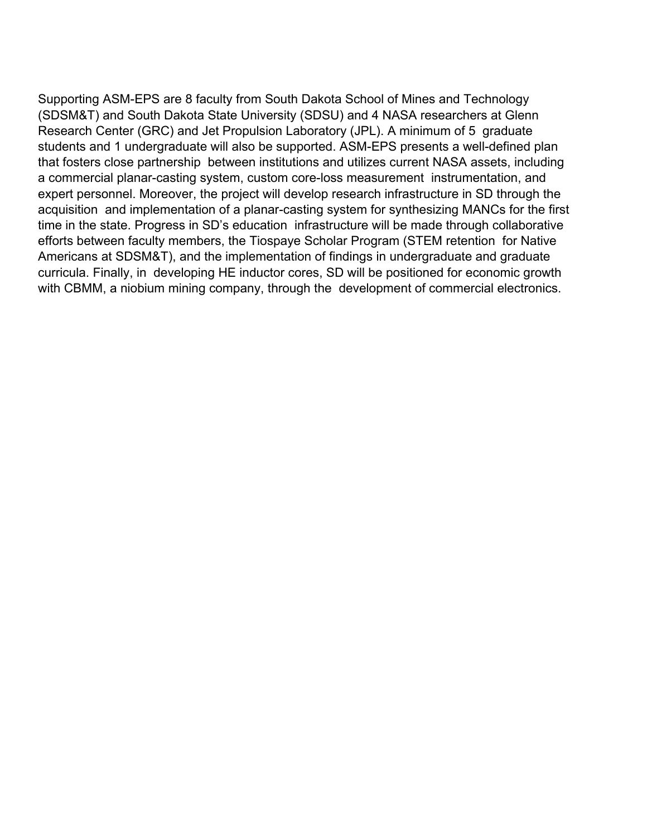Supporting ASM-EPS are 8 faculty from South Dakota School of Mines and Technology (SDSM&T) and South Dakota State University (SDSU) and 4 NASA researchers at Glenn Research Center (GRC) and Jet Propulsion Laboratory (JPL). A minimum of 5 graduate students and 1 undergraduate will also be supported. ASM-EPS presents a well-defined plan that fosters close partnership between institutions and utilizes current NASA assets, including a commercial planar-casting system, custom core-loss measurement instrumentation, and expert personnel. Moreover, the project will develop research infrastructure in SD through the acquisition and implementation of a planar-casting system for synthesizing MANCs for the first time in the state. Progress in SD's education infrastructure will be made through collaborative efforts between faculty members, the Tiospaye Scholar Program (STEM retention for Native Americans at SDSM&T), and the implementation of findings in undergraduate and graduate curricula. Finally, in developing HE inductor cores, SD will be positioned for economic growth with CBMM, a niobium mining company, through the development of commercial electronics.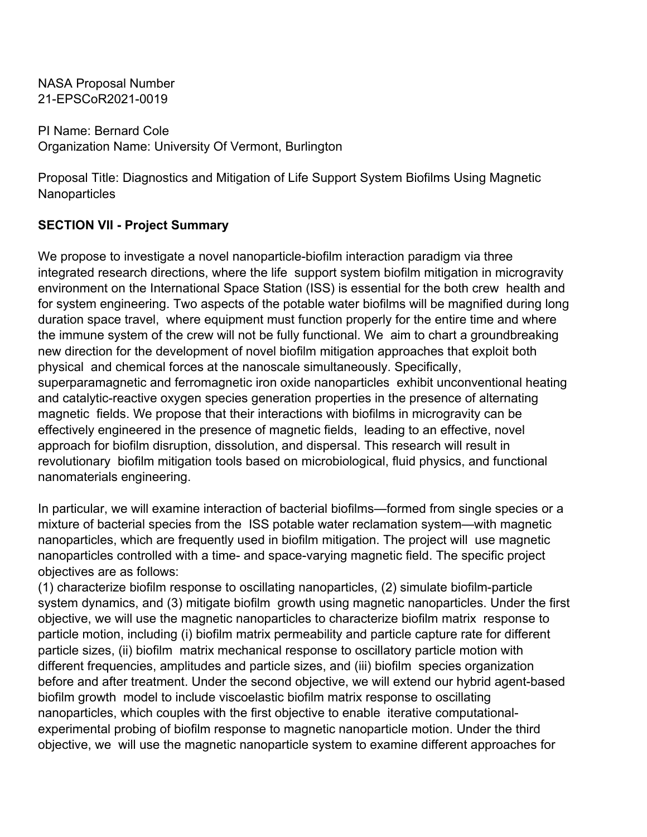PI Name: Bernard Cole Organization Name: University Of Vermont, Burlington

Proposal Title: Diagnostics and Mitigation of Life Support System Biofilms Using Magnetic **Nanoparticles** 

## **SECTION VII - Project Summary**

We propose to investigate a novel nanoparticle-biofilm interaction paradigm via three integrated research directions, where the life support system biofilm mitigation in microgravity environment on the International Space Station (ISS) is essential for the both crew health and for system engineering. Two aspects of the potable water biofilms will be magnified during long duration space travel, where equipment must function properly for the entire time and where the immune system of the crew will not be fully functional. We aim to chart a groundbreaking new direction for the development of novel biofilm mitigation approaches that exploit both physical and chemical forces at the nanoscale simultaneously. Specifically, superparamagnetic and ferromagnetic iron oxide nanoparticles exhibit unconventional heating and catalytic-reactive oxygen species generation properties in the presence of alternating magnetic fields. We propose that their interactions with biofilms in microgravity can be effectively engineered in the presence of magnetic fields, leading to an effective, novel approach for biofilm disruption, dissolution, and dispersal. This research will result in revolutionary biofilm mitigation tools based on microbiological, fluid physics, and functional nanomaterials engineering.

In particular, we will examine interaction of bacterial biofilms—formed from single species or a mixture of bacterial species from the ISS potable water reclamation system—with magnetic nanoparticles, which are frequently used in biofilm mitigation. The project will use magnetic nanoparticles controlled with a time- and space-varying magnetic field. The specific project objectives are as follows:

(1) characterize biofilm response to oscillating nanoparticles, (2) simulate biofilm-particle system dynamics, and (3) mitigate biofilm growth using magnetic nanoparticles. Under the first objective, we will use the magnetic nanoparticles to characterize biofilm matrix response to particle motion, including (i) biofilm matrix permeability and particle capture rate for different particle sizes, (ii) biofilm matrix mechanical response to oscillatory particle motion with different frequencies, amplitudes and particle sizes, and (iii) biofilm species organization before and after treatment. Under the second objective, we will extend our hybrid agent-based biofilm growth model to include viscoelastic biofilm matrix response to oscillating nanoparticles, which couples with the first objective to enable iterative computationalexperimental probing of biofilm response to magnetic nanoparticle motion. Under the third objective, we will use the magnetic nanoparticle system to examine different approaches for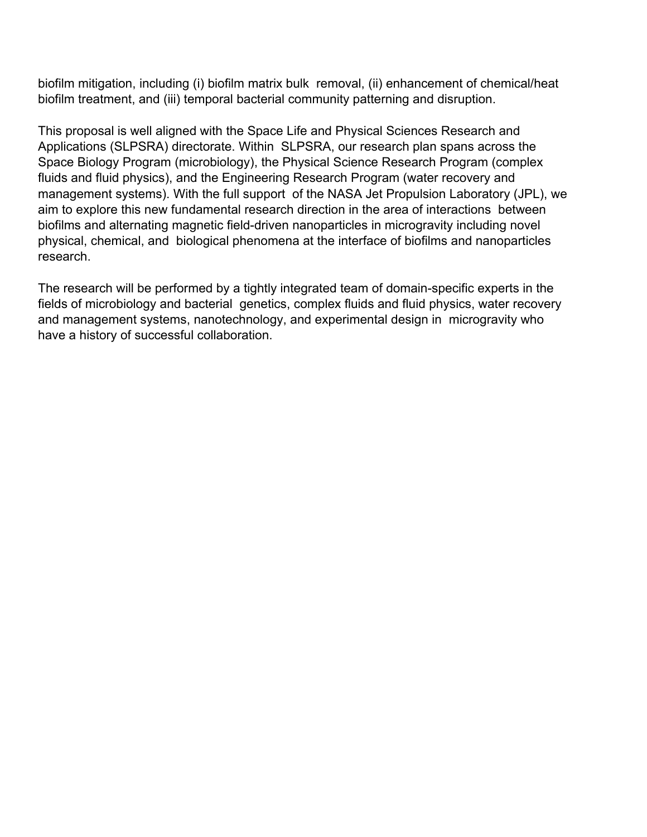biofilm mitigation, including (i) biofilm matrix bulk removal, (ii) enhancement of chemical/heat biofilm treatment, and (iii) temporal bacterial community patterning and disruption.

This proposal is well aligned with the Space Life and Physical Sciences Research and Applications (SLPSRA) directorate. Within SLPSRA, our research plan spans across the Space Biology Program (microbiology), the Physical Science Research Program (complex fluids and fluid physics), and the Engineering Research Program (water recovery and management systems). With the full support of the NASA Jet Propulsion Laboratory (JPL), we aim to explore this new fundamental research direction in the area of interactions between biofilms and alternating magnetic field-driven nanoparticles in microgravity including novel physical, chemical, and biological phenomena at the interface of biofilms and nanoparticles research.

The research will be performed by a tightly integrated team of domain-specific experts in the fields of microbiology and bacterial genetics, complex fluids and fluid physics, water recovery and management systems, nanotechnology, and experimental design in microgravity who have a history of successful collaboration.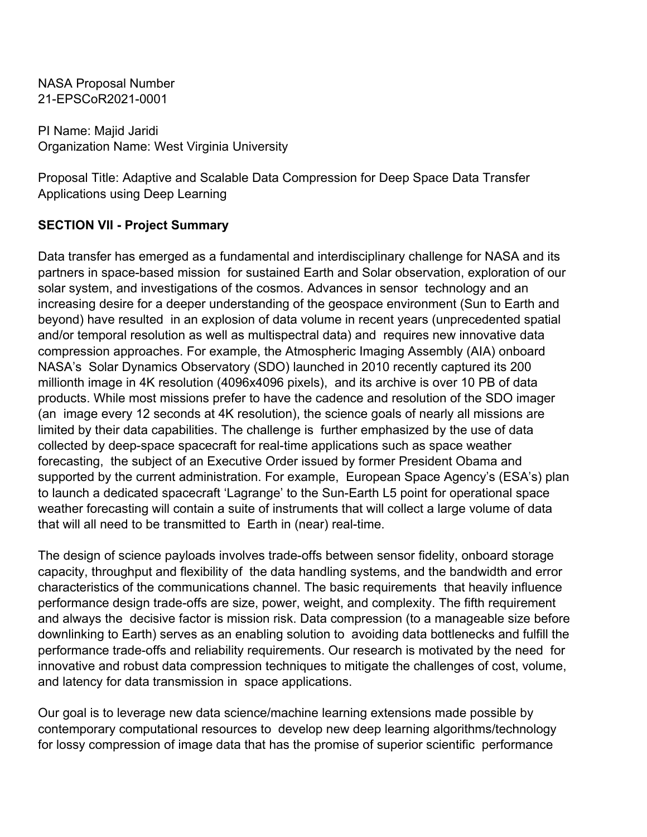PI Name: Majid Jaridi Organization Name: West Virginia University

Proposal Title: Adaptive and Scalable Data Compression for Deep Space Data Transfer Applications using Deep Learning

# **SECTION VII - Project Summary**

Data transfer has emerged as a fundamental and interdisciplinary challenge for NASA and its partners in space-based mission for sustained Earth and Solar observation, exploration of our solar system, and investigations of the cosmos. Advances in sensor technology and an increasing desire for a deeper understanding of the geospace environment (Sun to Earth and beyond) have resulted in an explosion of data volume in recent years (unprecedented spatial and/or temporal resolution as well as multispectral data) and requires new innovative data compression approaches. For example, the Atmospheric Imaging Assembly (AIA) onboard NASA's Solar Dynamics Observatory (SDO) launched in 2010 recently captured its 200 millionth image in 4K resolution (4096x4096 pixels), and its archive is over 10 PB of data products. While most missions prefer to have the cadence and resolution of the SDO imager (an image every 12 seconds at 4K resolution), the science goals of nearly all missions are limited by their data capabilities. The challenge is further emphasized by the use of data collected by deep-space spacecraft for real-time applications such as space weather forecasting, the subject of an Executive Order issued by former President Obama and supported by the current administration. For example, European Space Agency's (ESA's) plan to launch a dedicated spacecraft 'Lagrange' to the Sun-Earth L5 point for operational space weather forecasting will contain a suite of instruments that will collect a large volume of data that will all need to be transmitted to Earth in (near) real-time.

The design of science payloads involves trade-offs between sensor fidelity, onboard storage capacity, throughput and flexibility of the data handling systems, and the bandwidth and error characteristics of the communications channel. The basic requirements that heavily influence performance design trade-offs are size, power, weight, and complexity. The fifth requirement and always the decisive factor is mission risk. Data compression (to a manageable size before downlinking to Earth) serves as an enabling solution to avoiding data bottlenecks and fulfill the performance trade-offs and reliability requirements. Our research is motivated by the need for innovative and robust data compression techniques to mitigate the challenges of cost, volume, and latency for data transmission in space applications.

Our goal is to leverage new data science/machine learning extensions made possible by contemporary computational resources to develop new deep learning algorithms/technology for lossy compression of image data that has the promise of superior scientific performance